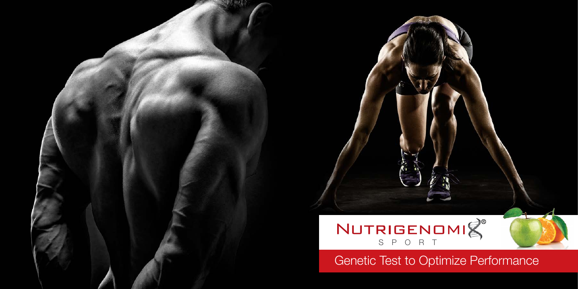



Genetic Test to Optimize Performance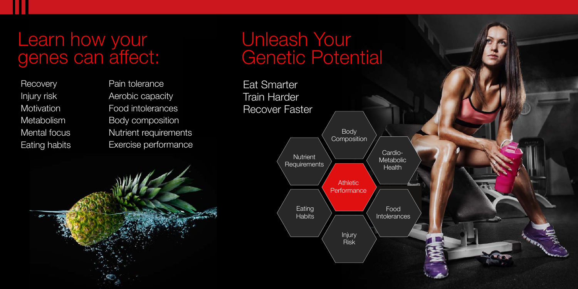## Learn how your genes can affect:

**Recovery** Injury risk **Motivation Metabolism** Mental focus Eating habits Pain tolerance Aerobic capacity Food intolerances Body composition Nutrient requirements Exercise performance



## Unleash Your Genetic Potential